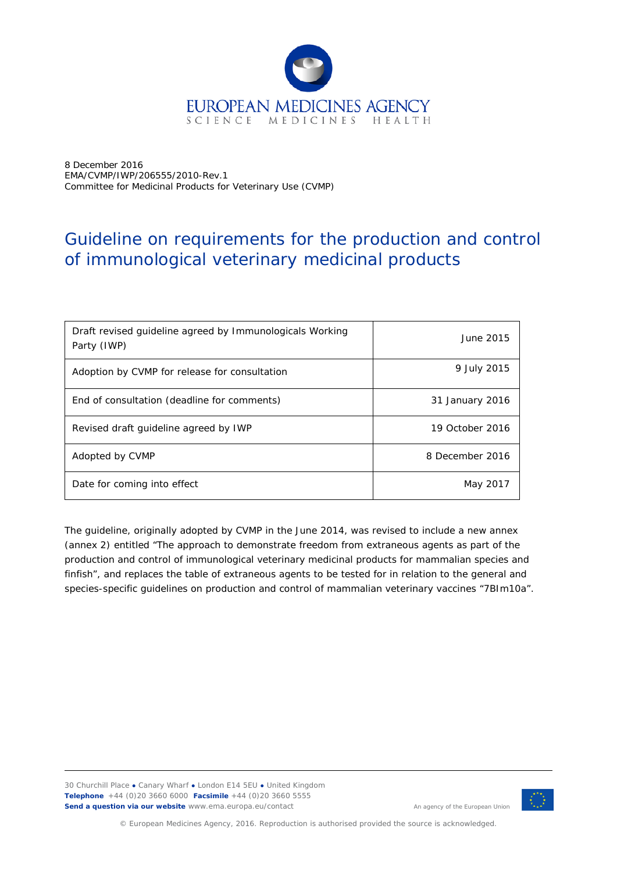

8 December 2016 EMA/CVMP/IWP/206555/2010-Rev.1 Committee for Medicinal Products for Veterinary Use (CVMP)

# Guideline on requirements for the production and control of immunological veterinary medicinal products

| Draft revised quideline agreed by Immunologicals Working<br>Party (IWP) | June 2015       |
|-------------------------------------------------------------------------|-----------------|
| Adoption by CVMP for release for consultation                           | 9 July 2015     |
| End of consultation (deadline for comments)                             | 31 January 2016 |
| Revised draft quideline agreed by IWP                                   | 19 October 2016 |
| Adopted by CVMP                                                         | 8 December 2016 |
| Date for coming into effect                                             | May 2017        |

The guideline, originally adopted by CVMP in the June 2014, was revised to include a new annex (annex 2) entitled "The approach to demonstrate freedom from extraneous agents as part of the production and control of immunological veterinary medicinal products for mammalian species and finfish", and replaces the table of extraneous agents to be tested for in relation to the general and species-specific guidelines on production and control of mammalian veterinary vaccines "7BIm10a".

30 Churchill Place **●** Canary Wharf **●** London E14 5EU **●** United Kingdom **Telephone** +44 (0)20 3660 6000 **Facsimile** +44 (0)20 3660 5555 **Send a question via our website** www.ema.europa.eu/contact



An agency of the European Union

© European Medicines Agency, 2016. Reproduction is authorised provided the source is acknowledged.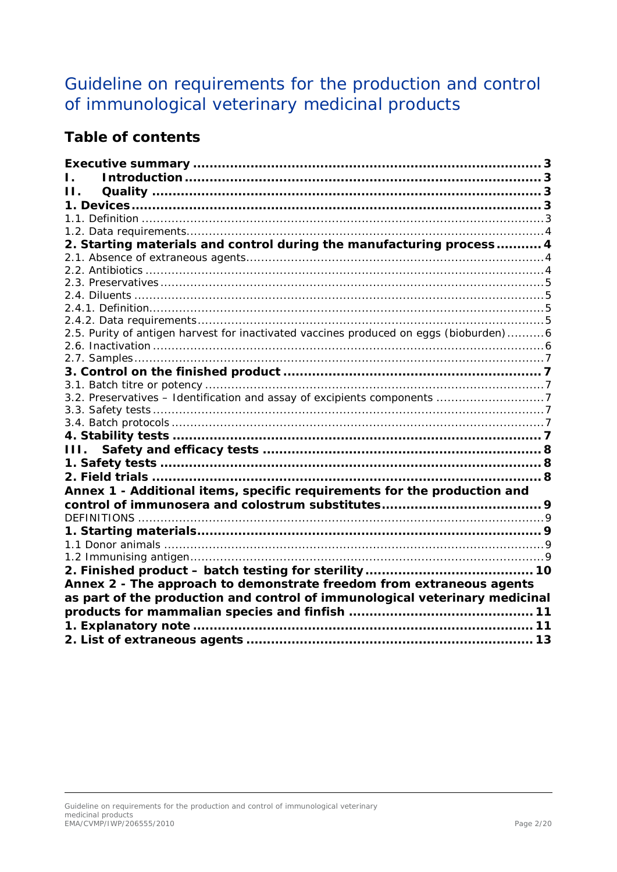# Guideline on requirements for the production and control of immunological veterinary medicinal products

## **Table of contents**

| Н.                                                                                    |  |
|---------------------------------------------------------------------------------------|--|
|                                                                                       |  |
|                                                                                       |  |
|                                                                                       |  |
| 2. Starting materials and control during the manufacturing process 4                  |  |
|                                                                                       |  |
|                                                                                       |  |
|                                                                                       |  |
|                                                                                       |  |
|                                                                                       |  |
|                                                                                       |  |
| 2.5. Purity of antigen harvest for inactivated vaccines produced on eggs (bioburden)6 |  |
|                                                                                       |  |
|                                                                                       |  |
|                                                                                       |  |
|                                                                                       |  |
| 3.2. Preservatives - Identification and assay of excipients components 7              |  |
|                                                                                       |  |
|                                                                                       |  |
|                                                                                       |  |
| III.                                                                                  |  |
|                                                                                       |  |
|                                                                                       |  |
| Annex 1 - Additional items, specific requirements for the production and              |  |
|                                                                                       |  |
|                                                                                       |  |
|                                                                                       |  |
|                                                                                       |  |
|                                                                                       |  |
|                                                                                       |  |
| Annex 2 - The approach to demonstrate freedom from extraneous agents                  |  |
| as part of the production and control of immunological veterinary medicinal           |  |
|                                                                                       |  |
|                                                                                       |  |
|                                                                                       |  |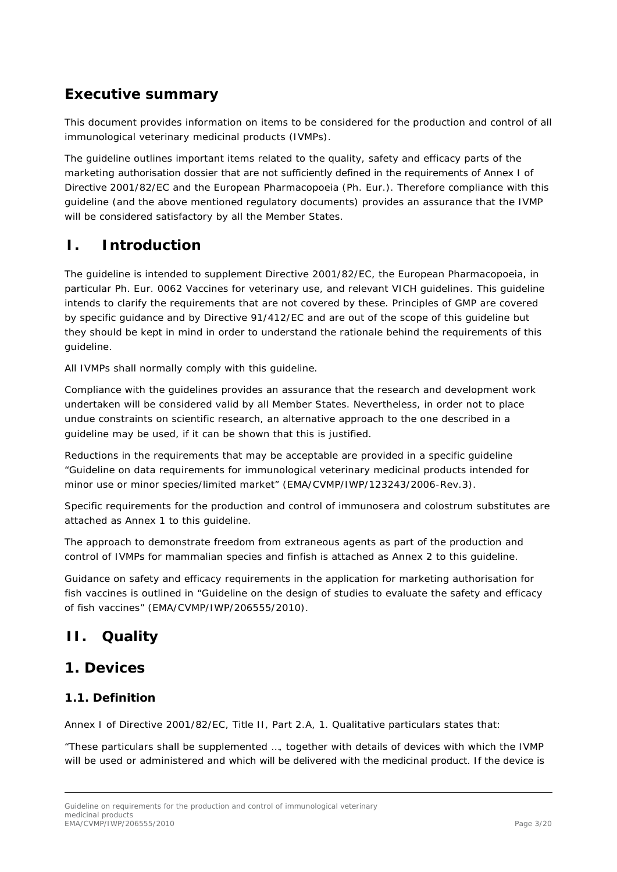## <span id="page-2-0"></span>**Executive summary**

This document provides information on items to be considered for the production and control of all immunological veterinary medicinal products (IVMPs).

The guideline outlines important items related to the quality, safety and efficacy parts of the marketing authorisation dossier that are not sufficiently defined in the requirements of Annex I of Directive 2001/82/EC and the European Pharmacopoeia (Ph. Eur.). Therefore compliance with this guideline (and the above mentioned regulatory documents) provides an assurance that the IVMP will be considered satisfactory by all the Member States.

## <span id="page-2-1"></span>**I. Introduction**

The guideline is intended to supplement Directive 2001/82/EC, the European Pharmacopoeia, in particular Ph. Eur. 0062 Vaccines for veterinary use, and relevant VICH guidelines. This guideline intends to clarify the requirements that are not covered by these. Principles of GMP are covered by specific guidance and by Directive 91/412/EC and are out of the scope of this guideline but they should be kept in mind in order to understand the rationale behind the requirements of this guideline.

All IVMPs shall normally comply with this guideline.

Compliance with the guidelines provides an assurance that the research and development work undertaken will be considered valid by all Member States. Nevertheless, in order not to place undue constraints on scientific research, an alternative approach to the one described in a guideline may be used, if it can be shown that this is justified.

Reductions in the requirements that may be acceptable are provided in a specific guideline "Guideline on data requirements for immunological veterinary medicinal products intended for minor use or minor species/limited market" (EMA/CVMP/IWP/123243/2006-Rev.3).

Specific requirements for the production and control of immunosera and colostrum substitutes are attached as Annex 1 to this guideline.

The approach to demonstrate freedom from extraneous agents as part of the production and control of IVMPs for mammalian species and finfish is attached as Annex 2 to this guideline.

Guidance on safety and efficacy requirements in the application for marketing authorisation for fish vaccines is outlined in "Guideline on the design of studies to evaluate the safety and efficacy of fish vaccines" (EMA/CVMP/IWP/206555/2010).

## <span id="page-2-2"></span>**II. Quality**

## <span id="page-2-3"></span>**1. Devices**

### <span id="page-2-4"></span>*1.1. Definition*

Annex I of Directive 2001/82/EC, Title II, Part 2.A, 1. Qualitative particulars states that:

"These particulars shall be supplemented …, together with details of devices with which the IVMP will be used or administered and which will be delivered with the medicinal product. If the device is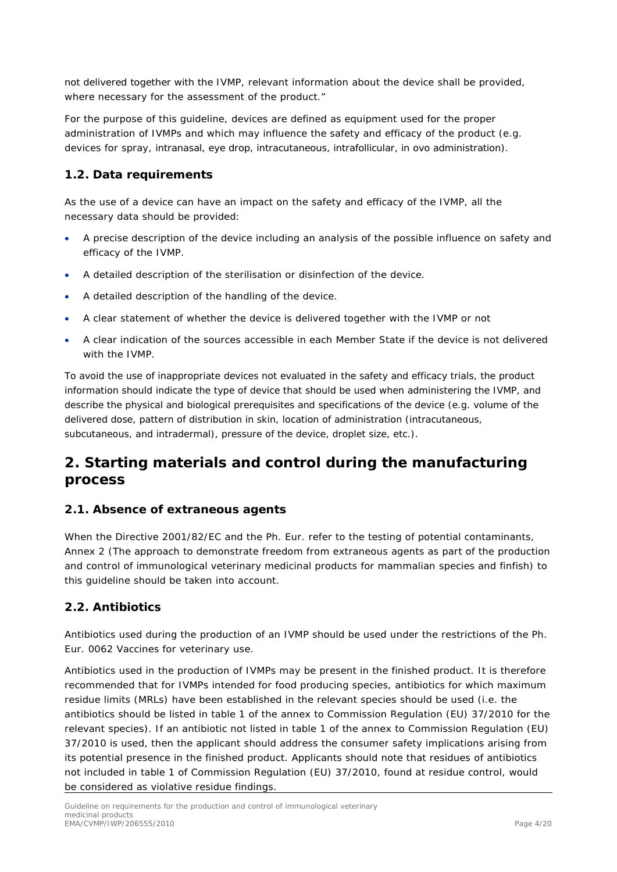not delivered together with the IVMP, relevant information about the device shall be provided, where necessary for the assessment of the product."

For the purpose of this guideline, devices are defined as equipment used for the proper administration of IVMPs and which may influence the safety and efficacy of the product (e.g. devices for spray, intranasal, eye drop, intracutaneous, intrafollicular, *in ovo* administration).

### <span id="page-3-0"></span>*1.2. Data requirements*

As the use of a device can have an impact on the safety and efficacy of the IVMP, all the necessary data should be provided:

- A precise description of the device including an analysis of the possible influence on safety and efficacy of the IVMP.
- A detailed description of the sterilisation or disinfection of the device.
- A detailed description of the handling of the device.
- A clear statement of whether the device is delivered together with the IVMP or not
- A clear indication of the sources accessible in each Member State if the device is not delivered with the IVMP.

To avoid the use of inappropriate devices not evaluated in the safety and efficacy trials, the product information should indicate the type of device that should be used when administering the IVMP, and describe the physical and biological prerequisites and specifications of the device (e.g. volume of the delivered dose, pattern of distribution in skin, location of administration (intracutaneous, subcutaneous, and intradermal), pressure of the device, droplet size, etc.).

## <span id="page-3-1"></span>**2. Starting materials and control during the manufacturing process**

### <span id="page-3-2"></span>*2.1. Absence of extraneous agents*

When the Directive 2001/82/EC and the Ph. Eur. refer to the testing of potential contaminants, Annex 2 (The approach to demonstrate freedom from extraneous agents as part of the production and control of immunological veterinary medicinal products for mammalian species and finfish) to this guideline should be taken into account.

### <span id="page-3-3"></span>*2.2. Antibiotics*

Antibiotics used during the production of an IVMP should be used under the restrictions of the Ph. Eur. 0062 Vaccines for veterinary use.

Antibiotics used in the production of IVMPs may be present in the finished product. It is therefore recommended that for IVMPs intended for food producing species, antibiotics for which maximum residue limits (MRLs) have been established in the relevant species should be used (i.e. the antibiotics should be listed in table 1 of the annex to Commission Regulation (EU) 37/2010 for the relevant species). If an antibiotic not listed in table 1 of the annex to Commission Regulation (EU) 37/2010 is used, then the applicant should address the consumer safety implications arising from its potential presence in the finished product. Applicants should note that residues of antibiotics not included in table 1 of Commission Regulation (EU) 37/2010, found at residue control, would be considered as violative residue findings.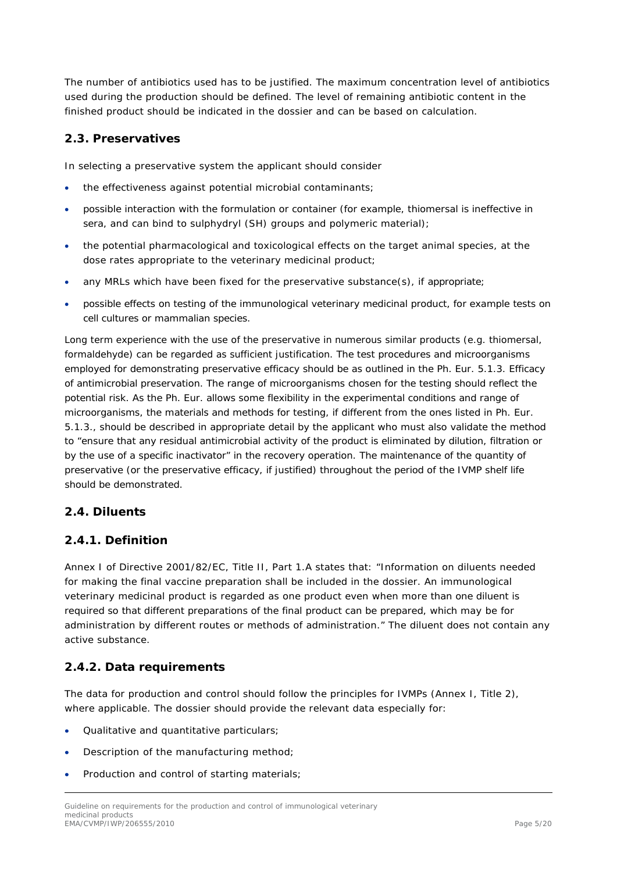The number of antibiotics used has to be justified. The maximum concentration level of antibiotics used during the production should be defined. The level of remaining antibiotic content in the finished product should be indicated in the dossier and can be based on calculation.

### <span id="page-4-0"></span>*2.3. Preservatives*

In selecting a preservative system the applicant should consider

- the effectiveness against potential microbial contaminants;
- possible interaction with the formulation or container (for example, thiomersal is ineffective in sera, and can bind to sulphydryl (SH) groups and polymeric material);
- the potential pharmacological and toxicological effects on the target animal species, at the dose rates appropriate to the veterinary medicinal product;
- any MRLs which have been fixed for the preservative substance(s), if appropriate;
- possible effects on testing of the immunological veterinary medicinal product, for example tests on cell cultures or mammalian species.

Long term experience with the use of the preservative in numerous similar products (e.g. thiomersal, formaldehyde) can be regarded as sufficient justification. The test procedures and microorganisms employed for demonstrating preservative efficacy should be as outlined in the Ph. Eur. 5.1.3. Efficacy of antimicrobial preservation. The range of microorganisms chosen for the testing should reflect the potential risk. As the Ph. Eur. allows some flexibility in the experimental conditions and range of microorganisms, the materials and methods for testing, if different from the ones listed in Ph. Eur. 5.1.3., should be described in appropriate detail by the applicant who must also validate the method to "ensure that any residual antimicrobial activity of the product is eliminated by dilution, filtration or by the use of a specific inactivator" in the recovery operation. The maintenance of the quantity of preservative (or the preservative efficacy, if justified) throughout the period of the IVMP shelf life should be demonstrated.

#### <span id="page-4-1"></span>*2.4. Diluents*

#### <span id="page-4-2"></span>**2.4.1. Definition**

Annex I of Directive 2001/82/EC, Title II, Part 1.A states that: "Information on diluents needed for making the final vaccine preparation shall be included in the dossier. An immunological veterinary medicinal product is regarded as one product even when more than one diluent is required so that different preparations of the final product can be prepared, which may be for administration by different routes or methods of administration." The diluent does not contain any active substance.

### <span id="page-4-3"></span>**2.4.2. Data requirements**

The data for production and control should follow the principles for IVMPs (Annex I, Title 2), where applicable. The dossier should provide the relevant data especially for:

- Qualitative and quantitative particulars;
- Description of the manufacturing method;
- Production and control of starting materials;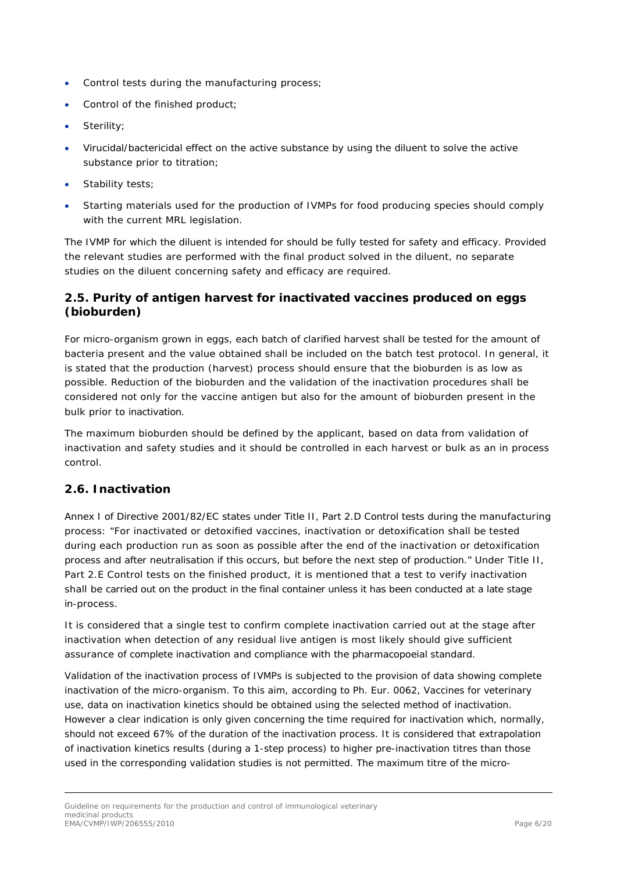- Control tests during the manufacturing process;
- Control of the finished product;
- Sterility;
- Virucidal/bactericidal effect on the active substance by using the diluent to solve the active substance prior to titration;
- Stability tests;
- Starting materials used for the production of IVMPs for food producing species should comply with the current MRL legislation.

The IVMP for which the diluent is intended for should be fully tested for safety and efficacy. Provided the relevant studies are performed with the final product solved in the diluent, no separate studies on the diluent concerning safety and efficacy are required.

### <span id="page-5-0"></span>*2.5. Purity of antigen harvest for inactivated vaccines produced on eggs (bioburden)*

For micro-organism grown in eggs, each batch of clarified harvest shall be tested for the amount of bacteria present and the value obtained shall be included on the batch test protocol. In general, it is stated that the production (harvest) process should ensure that the bioburden is as low as possible. Reduction of the bioburden and the validation of the inactivation procedures shall be considered not only for the vaccine antigen but also for the amount of bioburden present in the bulk prior to inactivation.

The maximum bioburden should be defined by the applicant, based on data from validation of inactivation and safety studies and it should be controlled in each harvest or bulk as an in process control.

### <span id="page-5-1"></span>*2.6. Inactivation*

Annex I of Directive 2001/82/EC states under Title II, Part 2.D Control tests during the manufacturing process: "For inactivated or detoxified vaccines, inactivation or detoxification shall be tested during each production run as soon as possible after the end of the inactivation or detoxification process and after neutralisation if this occurs, but before the next step of production." Under Title II, Part 2.E Control tests on the finished product, it is mentioned that a test to verify inactivation shall be carried out on the product in the final container unless it has been conducted at a late stage in-process.

It is considered that a single test to confirm complete inactivation carried out at the stage after inactivation when detection of any residual live antigen is most likely should give sufficient assurance of complete inactivation and compliance with the pharmacopoeial standard.

Validation of the inactivation process of IVMPs is subjected to the provision of data showing complete inactivation of the micro-organism. To this aim, according to Ph. Eur. 0062, Vaccines for veterinary use, data on inactivation kinetics should be obtained using the selected method of inactivation. However a clear indication is only given concerning the time required for inactivation which, normally, should not exceed 67% of the duration of the inactivation process. It is considered that extrapolation of inactivation kinetics results (during a 1-step process) to higher pre-inactivation titres than those used in the corresponding validation studies is not permitted. The maximum titre of the micro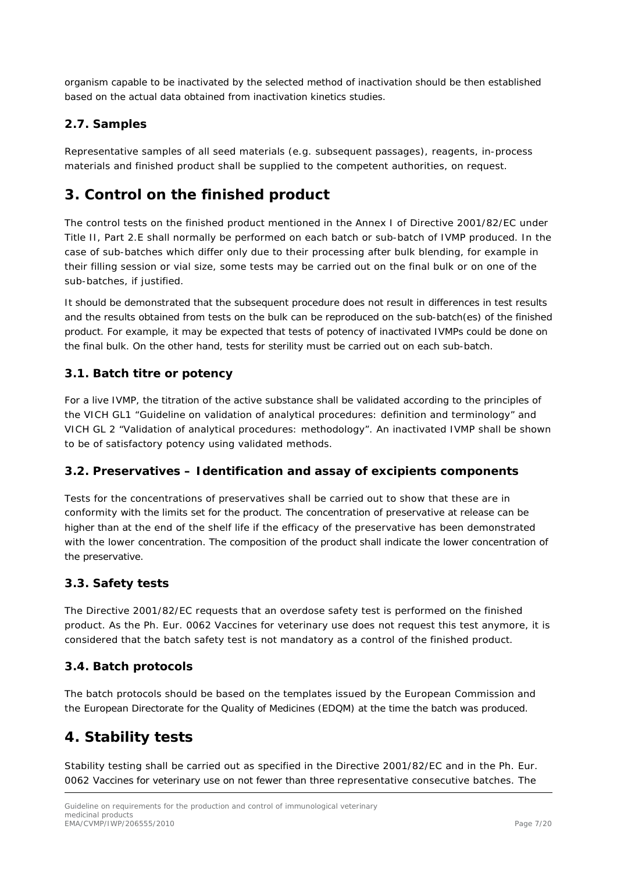organism capable to be inactivated by the selected method of inactivation should be then established based on the actual data obtained from inactivation kinetics studies.

### <span id="page-6-0"></span>*2.7. Samples*

Representative samples of all seed materials (e.g. subsequent passages), reagents, in-process materials and finished product shall be supplied to the competent authorities, on request.

### <span id="page-6-1"></span>**3. Control on the finished product**

The control tests on the finished product mentioned in the Annex I of Directive 2001/82/EC under Title II, Part 2.E shall normally be performed on each batch or sub-batch of IVMP produced. In the case of sub-batches which differ only due to their processing after bulk blending, for example in their filling session or vial size, some tests may be carried out on the final bulk or on one of the sub-batches, if justified.

It should be demonstrated that the subsequent procedure does not result in differences in test results and the results obtained from tests on the bulk can be reproduced on the sub-batch(es) of the finished product. For example, it may be expected that tests of potency of inactivated IVMPs could be done on the final bulk. On the other hand, tests for sterility must be carried out on each sub-batch.

#### <span id="page-6-2"></span>*3.1. Batch titre or potency*

For a live IVMP, the titration of the active substance shall be validated according to the principles of the VICH GL1 "*Guideline on validation of analytical procedures: definition and terminology*" and VICH GL 2 "*Validation of analytical procedures: methodology*". An inactivated IVMP shall be shown to be of satisfactory potency using validated methods.

#### <span id="page-6-3"></span>*3.2. Preservatives – Identification and assay of excipients components*

Tests for the concentrations of preservatives shall be carried out to show that these are in conformity with the limits set for the product. The concentration of preservative at release can be higher than at the end of the shelf life if the efficacy of the preservative has been demonstrated with the lower concentration. The composition of the product shall indicate the lower concentration of the preservative.

#### <span id="page-6-4"></span>*3.3. Safety tests*

The Directive 2001/82/EC requests that an overdose safety test is performed on the finished product. As the Ph. Eur. 0062 Vaccines for veterinary use does not request this test anymore, it is considered that the batch safety test is not mandatory as a control of the finished product.

#### <span id="page-6-5"></span>*3.4. Batch protocols*

The batch protocols should be based on the templates issued by the European Commission and the European Directorate for the Quality of Medicines (EDQM) at the time the batch was produced.

### <span id="page-6-6"></span>**4. Stability tests**

Stability testing shall be carried out as specified in the Directive 2001/82/EC and in the Ph. Eur. 0062 Vaccines for veterinary use on not fewer than three representative consecutive batches. The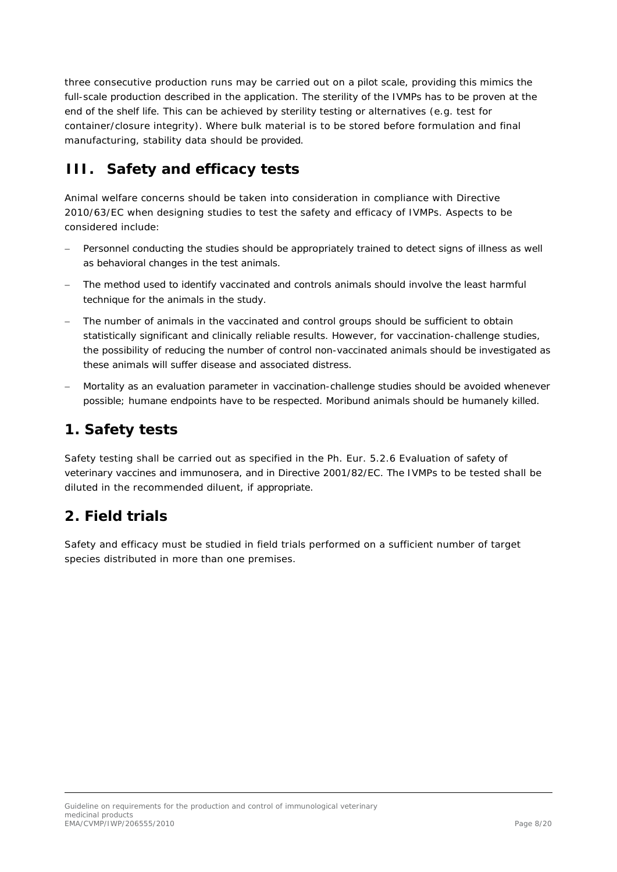three consecutive production runs may be carried out on a pilot scale, providing this mimics the full-scale production described in the application. The sterility of the IVMPs has to be proven at the end of the shelf life. This can be achieved by sterility testing or alternatives (e.g. test for container/closure integrity). Where bulk material is to be stored before formulation and final manufacturing, stability data should be provided.

## <span id="page-7-0"></span>**III. Safety and efficacy tests**

Animal welfare concerns should be taken into consideration in compliance with Directive 2010/63/EC when designing studies to test the safety and efficacy of IVMPs. Aspects to be considered include:

- − Personnel conducting the studies should be appropriately trained to detect signs of illness as well as behavioral changes in the test animals.
- The method used to identify vaccinated and controls animals should involve the least harmful technique for the animals in the study.
- The number of animals in the vaccinated and control groups should be sufficient to obtain statistically significant and clinically reliable results. However, for vaccination-challenge studies, the possibility of reducing the number of control non-vaccinated animals should be investigated as these animals will suffer disease and associated distress.
- Mortality as an evaluation parameter in vaccination-challenge studies should be avoided whenever possible; humane endpoints have to be respected. Moribund animals should be humanely killed.

## <span id="page-7-1"></span>**1. Safety tests**

Safety testing shall be carried out as specified in the Ph. Eur. 5.2.6 Evaluation of safety of veterinary vaccines and immunosera, and in Directive 2001/82/EC. The IVMPs to be tested shall be diluted in the recommended diluent, if appropriate.

## <span id="page-7-2"></span>**2. Field trials**

Safety and efficacy must be studied in field trials performed on a sufficient number of target species distributed in more than one premises.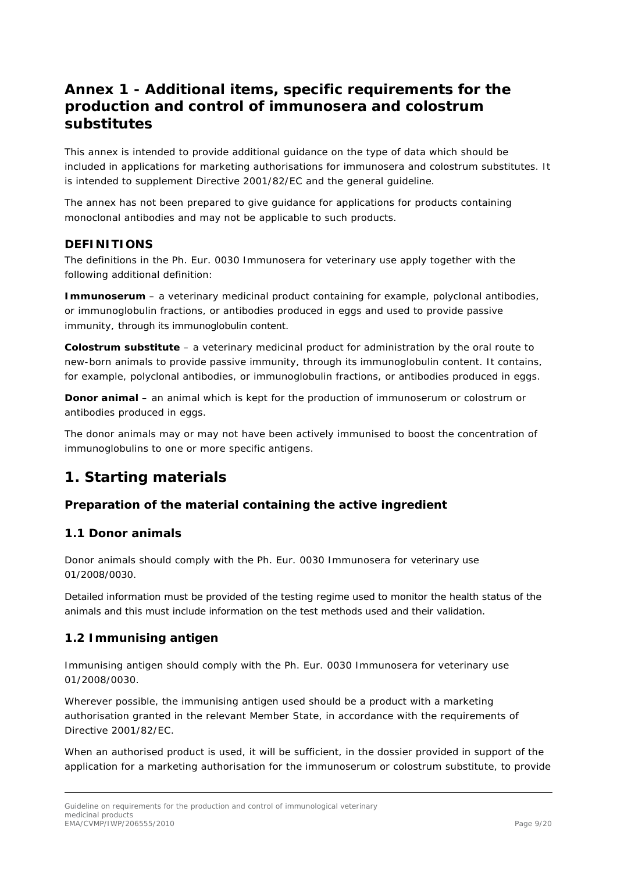## <span id="page-8-0"></span>**Annex 1 - Additional items, specific requirements for the production and control of immunosera and colostrum substitutes**

This annex is intended to provide additional guidance on the type of data which should be included in applications for marketing authorisations for immunosera and colostrum substitutes. It is intended to supplement Directive 2001/82/EC and the general guideline.

The annex has not been prepared to give guidance for applications for products containing monoclonal antibodies and may not be applicable to such products.

### <span id="page-8-1"></span>*DEFINITIONS*

The definitions in the Ph. Eur. 0030 Immunosera for veterinary use apply together with the following additional definition:

**Immunoserum** – a veterinary medicinal product containing for example, polyclonal antibodies, or immunoglobulin fractions, or antibodies produced in eggs and used to provide passive immunity, through its immunoglobulin content.

**Colostrum substitute** – a veterinary medicinal product for administration by the oral route to new-born animals to provide passive immunity, through its immunoglobulin content. It contains, for example, polyclonal antibodies, or immunoglobulin fractions, or antibodies produced in eggs.

**Donor animal** – an animal which is kept for the production of immunoserum or colostrum or antibodies produced in eggs.

The donor animals may or may not have been actively immunised to boost the concentration of immunoglobulins to one or more specific antigens.

## <span id="page-8-2"></span>**1. Starting materials**

### *Preparation of the material containing the active ingredient*

#### <span id="page-8-3"></span>*1.1 Donor animals*

Donor animals should comply with the Ph. Eur. 0030 Immunosera for veterinary use 01/2008/0030.

Detailed information must be provided of the testing regime used to monitor the health status of the animals and this must include information on the test methods used and their validation.

### <span id="page-8-4"></span>*1.2 Immunising antigen*

Immunising antigen should comply with the Ph. Eur. 0030 Immunosera for veterinary use 01/2008/0030.

Wherever possible, the immunising antigen used should be a product with a marketing authorisation granted in the relevant Member State, in accordance with the requirements of Directive 2001/82/EC.

When an authorised product is used, it will be sufficient, in the dossier provided in support of the application for a marketing authorisation for the immunoserum or colostrum substitute, to provide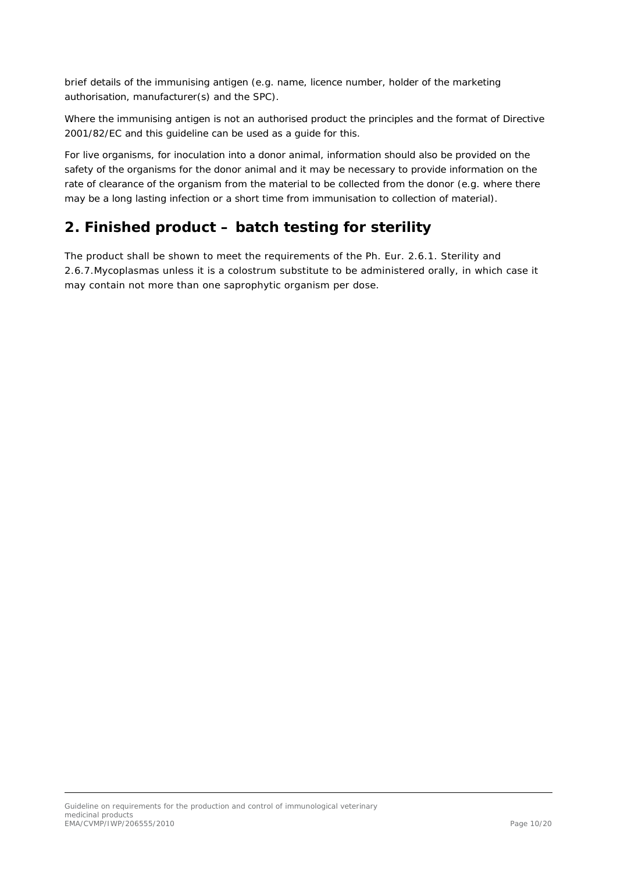brief details of the immunising antigen (e.g. name, licence number, holder of the marketing authorisation, manufacturer(s) and the SPC).

Where the immunising antigen is not an authorised product the principles and the format of Directive 2001/82/EC and this guideline can be used as a guide for this.

For live organisms, for inoculation into a donor animal, information should also be provided on the safety of the organisms for the donor animal and it may be necessary to provide information on the rate of clearance of the organism from the material to be collected from the donor (e.g. where there may be a long lasting infection or a short time from immunisation to collection of material).

## <span id="page-9-0"></span>**2. Finished product – batch testing for sterility**

The product shall be shown to meet the requirements of the Ph. Eur. 2.6.1. Sterility and 2.6.7.Mycoplasmas unless it is a colostrum substitute to be administered orally, in which case it may contain not more than one saprophytic organism per dose.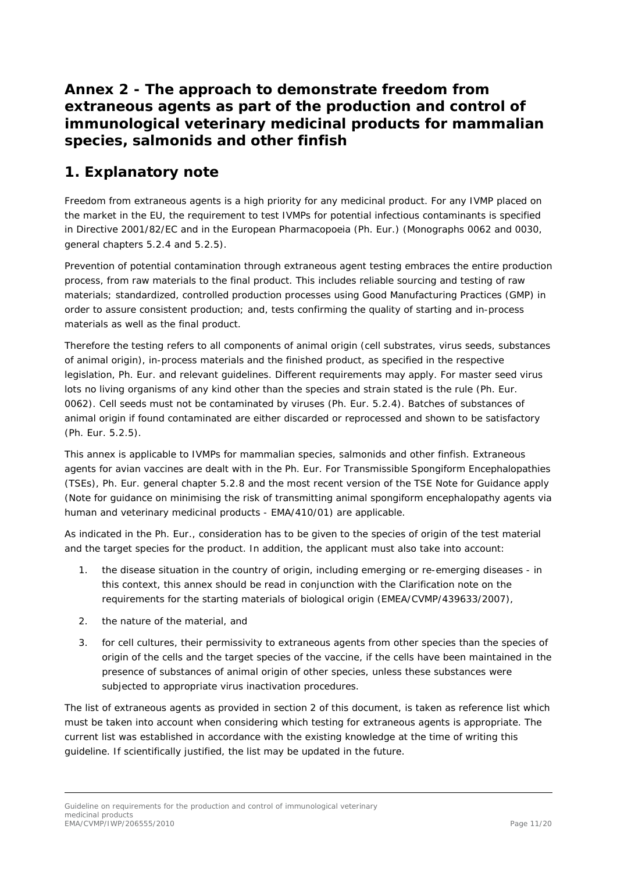## <span id="page-10-0"></span>**Annex 2 - The approach to demonstrate freedom from extraneous agents as part of the production and control of immunological veterinary medicinal products for mammalian species, salmonids and other finfish**

## <span id="page-10-1"></span>**1. Explanatory note**

Freedom from extraneous agents is a high priority for any medicinal product. For any IVMP placed on the market in the EU, the requirement to test IVMPs for potential infectious contaminants is specified in Directive 2001/82/EC and in the European Pharmacopoeia (Ph. Eur.) (Monographs 0062 and 0030, general chapters 5.2.4 and 5.2.5).

Prevention of potential contamination through extraneous agent testing embraces the entire production process, from raw materials to the final product. This includes reliable sourcing and testing of raw materials; standardized, controlled production processes using Good Manufacturing Practices (GMP) in order to assure consistent production; and, tests confirming the quality of starting and in-process materials as well as the final product.

Therefore the testing refers to all components of animal origin (cell substrates, virus seeds, substances of animal origin), in-process materials and the finished product, as specified in the respective legislation, Ph. Eur. and relevant guidelines. Different requirements may apply. For master seed virus lots no living organisms of any kind other than the species and strain stated is the rule (Ph. Eur. 0062). Cell seeds must not be contaminated by viruses (Ph. Eur. 5.2.4). Batches of substances of animal origin if found contaminated are either discarded or reprocessed and shown to be satisfactory (Ph. Eur. 5.2.5).

This annex is applicable to IVMPs for mammalian species, salmonids and other finfish. Extraneous agents for avian vaccines are dealt with in the Ph. Eur. For Transmissible Spongiform Encephalopathies (TSEs), Ph. Eur. general chapter 5.2.8 and the most recent version of the TSE Note for Guidance apply (Note for guidance on minimising the risk of transmitting animal spongiform encephalopathy agents via human and veterinary medicinal products - EMA/410/01) are applicable.

As indicated in the Ph. Eur., consideration has to be given to the species of origin of the test material and the target species for the product. In addition, the applicant must also take into account:

- 1. the disease situation in the country of origin, including emerging or re-emerging diseases in this context, this annex should be read in conjunction with the Clarification note on the requirements for the starting materials of biological origin (EMEA/CVMP/439633/2007),
- 2. the nature of the material, and
- 3. for cell cultures, their permissivity to extraneous agents from other species than the species of origin of the cells and the target species of the vaccine, if the cells have been maintained in the presence of substances of animal origin of other species, unless these substances were subjected to appropriate virus inactivation procedures.

The list of extraneous agents as provided in section 2 of this document, is taken as reference list which must be taken into account when considering which testing for extraneous agents is appropriate. The current list was established in accordance with the existing knowledge at the time of writing this guideline. If scientifically justified, the list may be updated in the future.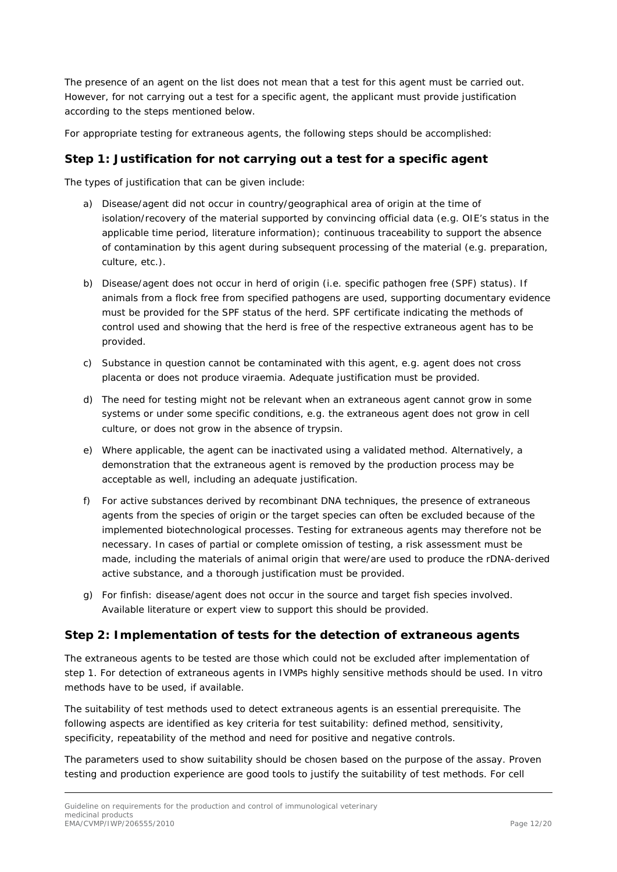The presence of an agent on the list does not mean that a test for this agent must be carried out. However, for not carrying out a test for a specific agent, the applicant must provide justification according to the steps mentioned below.

For appropriate testing for extraneous agents, the following steps should be accomplished:

#### *Step 1: Justification for not carrying out a test for a specific agent*

The types of justification that can be given include:

- a) Disease/agent did not occur in country/geographical area of origin at the time of isolation/recovery of the material supported by convincing official data (e.g. OIE's status in the applicable time period, literature information); continuous traceability to support the absence of contamination by this agent during subsequent processing of the material (e.g. preparation, culture, etc.).
- b) Disease/agent does not occur in herd of origin (i.e. specific pathogen free (SPF) status). If animals from a flock free from specified pathogens are used, supporting documentary evidence must be provided for the SPF status of the herd. SPF certificate indicating the methods of control used and showing that the herd is free of the respective extraneous agent has to be provided.
- c) Substance in question cannot be contaminated with this agent, e.g. agent does not cross placenta or does not produce viraemia. Adequate justification must be provided.
- d) The need for testing might not be relevant when an extraneous agent cannot grow in some systems or under some specific conditions, e.g. the extraneous agent does not grow in cell culture, or does not grow in the absence of trypsin.
- e) Where applicable, the agent can be inactivated using a validated method. Alternatively, a demonstration that the extraneous agent is removed by the production process may be acceptable as well, including an adequate justification.
- f) For active substances derived by recombinant DNA techniques, the presence of extraneous agents from the species of origin or the target species can often be excluded because of the implemented biotechnological processes. Testing for extraneous agents may therefore not be necessary. In cases of partial or complete omission of testing, a risk assessment must be made, including the materials of animal origin that were/are used to produce the rDNA-derived active substance, and a thorough justification must be provided.
- g) For finfish: disease/agent does not occur in the source and target fish species involved. Available literature or expert view to support this should be provided.

#### *Step 2: Implementation of tests for the detection of extraneous agents*

The extraneous agents to be tested are those which could not be excluded after implementation of step 1. For detection of extraneous agents in IVMPs highly sensitive methods should be used. *In vitro*  methods have to be used, if available.

The suitability of test methods used to detect extraneous agents is an essential prerequisite. The following aspects are identified as key criteria for test suitability: defined method, sensitivity, specificity, repeatability of the method and need for positive and negative controls.

The parameters used to show suitability should be chosen based on the purpose of the assay. Proven testing and production experience are good tools to justify the suitability of test methods. For cell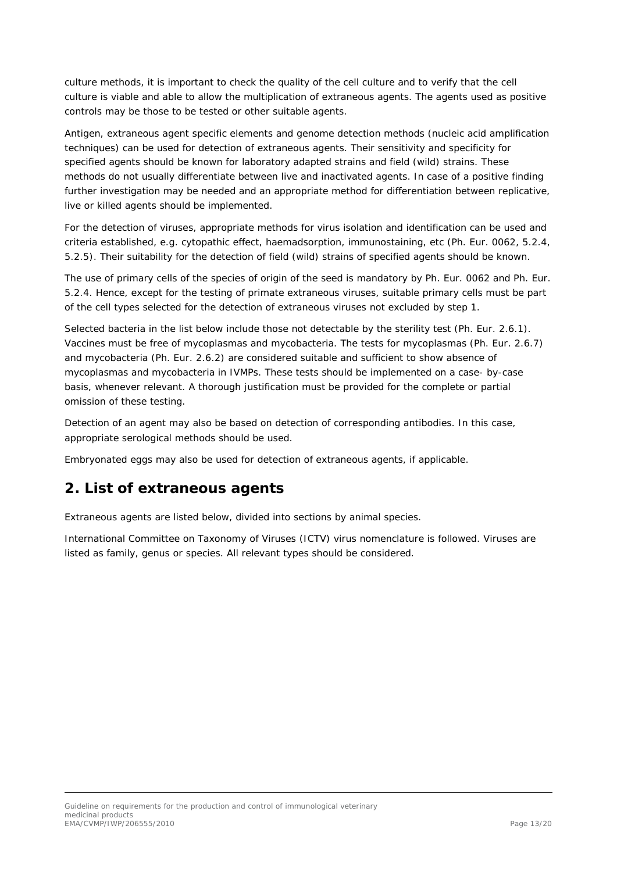culture methods, it is important to check the quality of the cell culture and to verify that the cell culture is viable and able to allow the multiplication of extraneous agents. The agents used as positive controls may be those to be tested or other suitable agents.

Antigen, extraneous agent specific elements and genome detection methods (nucleic acid amplification techniques) can be used for detection of extraneous agents. Their sensitivity and specificity for specified agents should be known for laboratory adapted strains and field (wild) strains. These methods do not usually differentiate between live and inactivated agents. In case of a positive finding further investigation may be needed and an appropriate method for differentiation between replicative, live or killed agents should be implemented.

For the detection of viruses, appropriate methods for virus isolation and identification can be used and criteria established, e.g. cytopathic effect, haemadsorption, immunostaining, etc (Ph. Eur. 0062, 5.2.4, 5.2.5). Their suitability for the detection of field (wild) strains of specified agents should be known.

The use of primary cells of the species of origin of the seed is mandatory by Ph. Eur. 0062 and Ph. Eur. 5.2.4. Hence, except for the testing of primate extraneous viruses, suitable primary cells must be part of the cell types selected for the detection of extraneous viruses not excluded by step 1.

Selected bacteria in the list below include those not detectable by the sterility test (Ph. Eur. 2.6.1). Vaccines must be free of mycoplasmas and mycobacteria. The tests for mycoplasmas (Ph. Eur. 2.6.7) and mycobacteria (Ph. Eur. 2.6.2) are considered suitable and sufficient to show absence of mycoplasmas and mycobacteria in IVMPs. These tests should be implemented on a case- by-case basis, whenever relevant. A thorough justification must be provided for the complete or partial omission of these testing.

Detection of an agent may also be based on detection of corresponding antibodies. In this case, appropriate serological methods should be used.

Embryonated eggs may also be used for detection of extraneous agents, if applicable.

### <span id="page-12-0"></span>**2. List of extraneous agents**

Extraneous agents are listed below, divided into sections by animal species.

International Committee on Taxonomy of Viruses (ICTV) virus nomenclature is followed. Viruses are listed as family, genus or species. All relevant types should be considered.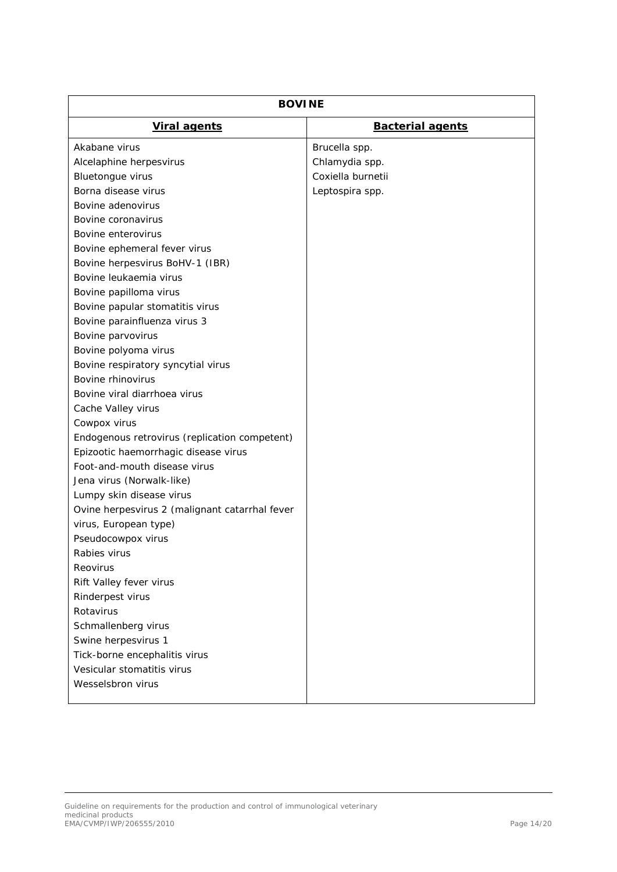| <b>BOVINE</b>                                  |                         |  |
|------------------------------------------------|-------------------------|--|
| <b>Viral agents</b>                            | <b>Bacterial agents</b> |  |
| Akabane virus                                  | Brucella spp.           |  |
| Alcelaphine herpesvirus                        | Chlamydia spp.          |  |
| Bluetongue virus                               | Coxiella burnetii       |  |
| Borna disease virus                            | Leptospira spp.         |  |
| Bovine adenovirus                              |                         |  |
| Bovine coronavirus                             |                         |  |
| Bovine enterovirus                             |                         |  |
| Bovine ephemeral fever virus                   |                         |  |
| Bovine herpesvirus BoHV-1 (IBR)                |                         |  |
| Bovine leukaemia virus                         |                         |  |
| Bovine papilloma virus                         |                         |  |
| Bovine papular stomatitis virus                |                         |  |
| Bovine parainfluenza virus 3                   |                         |  |
| Bovine parvovirus                              |                         |  |
| Bovine polyoma virus                           |                         |  |
| Bovine respiratory syncytial virus             |                         |  |
| Bovine rhinovirus                              |                         |  |
| Bovine viral diarrhoea virus                   |                         |  |
| Cache Valley virus                             |                         |  |
| Cowpox virus                                   |                         |  |
| Endogenous retrovirus (replication competent)  |                         |  |
| Epizootic haemorrhagic disease virus           |                         |  |
| Foot-and-mouth disease virus                   |                         |  |
| Jena virus (Norwalk-like)                      |                         |  |
| Lumpy skin disease virus                       |                         |  |
| Ovine herpesvirus 2 (malignant catarrhal fever |                         |  |
| virus, European type)                          |                         |  |
| Pseudocowpox virus                             |                         |  |
| Rabies virus                                   |                         |  |
| Reovirus                                       |                         |  |
| Rift Valley fever virus                        |                         |  |
| Rinderpest virus                               |                         |  |
| Rotavirus                                      |                         |  |
| Schmallenberg virus                            |                         |  |
| Swine herpesvirus 1                            |                         |  |
| Tick-borne encephalitis virus                  |                         |  |
| Vesicular stomatitis virus                     |                         |  |
| Wesselsbron virus                              |                         |  |
|                                                |                         |  |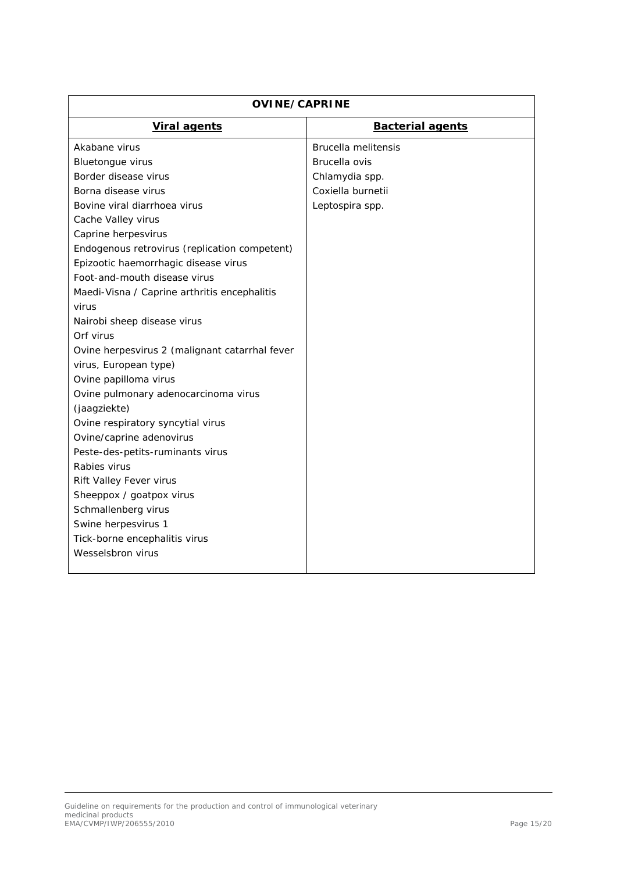| <b>OVINE/CAPRINE</b>                           |                         |  |
|------------------------------------------------|-------------------------|--|
| <b>Viral agents</b>                            | <b>Bacterial agents</b> |  |
| Akabane virus                                  | Brucella melitensis     |  |
| Bluetongue virus                               | Brucella ovis           |  |
| Border disease virus                           | Chlamydia spp.          |  |
| Borna disease virus                            | Coxiella burnetii       |  |
| Bovine viral diarrhoea virus                   | Leptospira spp.         |  |
| Cache Valley virus                             |                         |  |
| Caprine herpesvirus                            |                         |  |
| Endogenous retrovirus (replication competent)  |                         |  |
| Epizootic haemorrhagic disease virus           |                         |  |
| Foot-and-mouth disease virus                   |                         |  |
| Maedi-Visna / Caprine arthritis encephalitis   |                         |  |
| virus                                          |                         |  |
| Nairobi sheep disease virus                    |                         |  |
| Orf virus                                      |                         |  |
| Ovine herpesvirus 2 (malignant catarrhal fever |                         |  |
| virus, European type)                          |                         |  |
| Ovine papilloma virus                          |                         |  |
| Ovine pulmonary adenocarcinoma virus           |                         |  |
| (jaagziekte)                                   |                         |  |
| Ovine respiratory syncytial virus              |                         |  |
| Ovine/caprine adenovirus                       |                         |  |
| Peste-des-petits-ruminants virus               |                         |  |
| Rabies virus                                   |                         |  |
| Rift Valley Fever virus                        |                         |  |
| Sheeppox / goatpox virus                       |                         |  |
| Schmallenberg virus                            |                         |  |
| Swine herpesvirus 1                            |                         |  |
| Tick-borne encephalitis virus                  |                         |  |
| Wesselsbron virus                              |                         |  |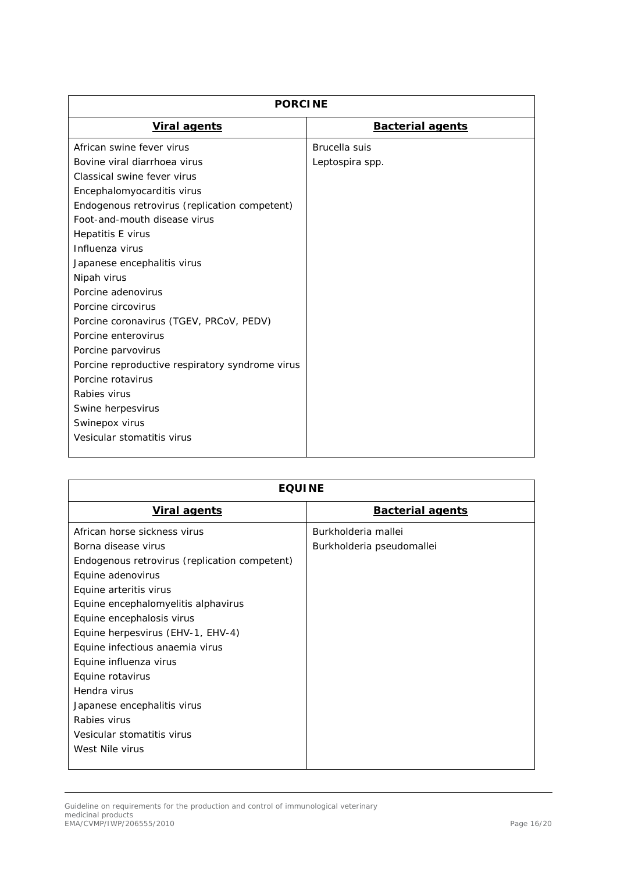| <b>PORCINE</b>                                  |                         |
|-------------------------------------------------|-------------------------|
| <b>Viral agents</b>                             | <b>Bacterial agents</b> |
| African swine fever virus                       | Brucella suis           |
| Bovine viral diarrhoea virus                    | Leptospira spp.         |
| Classical swine fever virus                     |                         |
| Encephalomyocarditis virus                      |                         |
| Endogenous retrovirus (replication competent)   |                         |
| Foot-and-mouth disease virus                    |                         |
| Hepatitis E virus                               |                         |
| Influenza virus                                 |                         |
| Japanese encephalitis virus                     |                         |
| Nipah virus                                     |                         |
| Porcine adenovirus                              |                         |
| Porcine circovirus                              |                         |
| Porcine coronavirus (TGEV, PRCoV, PEDV)         |                         |
| Porcine enterovirus                             |                         |
| Porcine parvovirus                              |                         |
| Porcine reproductive respiratory syndrome virus |                         |
| Porcine rotavirus                               |                         |
| Rabies virus                                    |                         |
| Swine herpesvirus                               |                         |
| Swinepox virus                                  |                         |
| Vesicular stomatitis virus                      |                         |

| <b>EQUINE</b>                                 |                           |
|-----------------------------------------------|---------------------------|
| <b>Viral agents</b>                           | <b>Bacterial agents</b>   |
| African horse sickness virus                  | Burkholderia mallei       |
| Borna disease virus                           | Burkholderia pseudomallei |
| Endogenous retrovirus (replication competent) |                           |
| Equine adenovirus                             |                           |
| Equine arteritis virus                        |                           |
| Equine encephalomyelitis alphavirus           |                           |
| Equine encephalosis virus                     |                           |
| Equine herpesvirus (EHV-1, EHV-4)             |                           |
| Equine infectious anaemia virus               |                           |
| Equine influenza virus                        |                           |
| Equine rotavirus                              |                           |
| Hendra virus                                  |                           |
| Japanese encephalitis virus                   |                           |
| Rabies virus                                  |                           |
| Vesicular stomatitis virus                    |                           |
| West Nile virus                               |                           |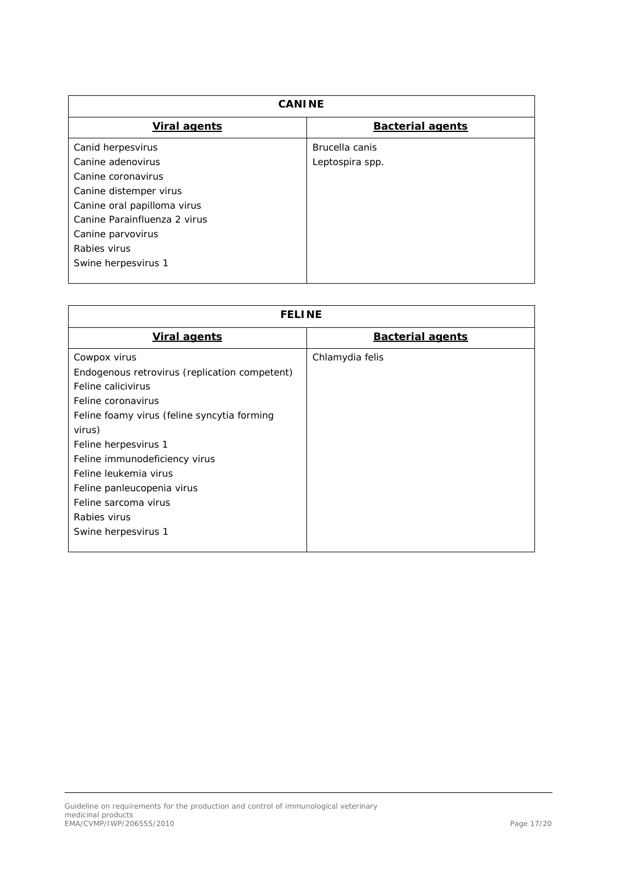| <b>CANINE</b>                |                         |
|------------------------------|-------------------------|
| <b>Viral agents</b>          | <b>Bacterial agents</b> |
| Canid herpesvirus            | Brucella canis          |
| Canine adenovirus            | Leptospira spp.         |
| Canine coronavirus           |                         |
| Canine distemper virus       |                         |
| Canine oral papilloma virus  |                         |
| Canine Parainfluenza 2 virus |                         |
| Canine parvovirus            |                         |
| Rabies virus                 |                         |
| Swine herpesvirus 1          |                         |
|                              |                         |

| <b>FELINE</b>                                 |                         |
|-----------------------------------------------|-------------------------|
| <b>Viral agents</b>                           | <b>Bacterial agents</b> |
| Cowpox virus                                  | Chlamydia felis         |
| Endogenous retrovirus (replication competent) |                         |
| Feline calicivirus                            |                         |
| Feline coronavirus                            |                         |
| Feline foamy virus (feline syncytia forming   |                         |
| virus)                                        |                         |
| Feline herpesvirus 1                          |                         |
| Feline immunodeficiency virus                 |                         |
| Feline leukemia virus                         |                         |
| Feline panleucopenia virus                    |                         |
| Feline sarcoma virus                          |                         |
| Rabies virus                                  |                         |
| Swine herpesvirus 1                           |                         |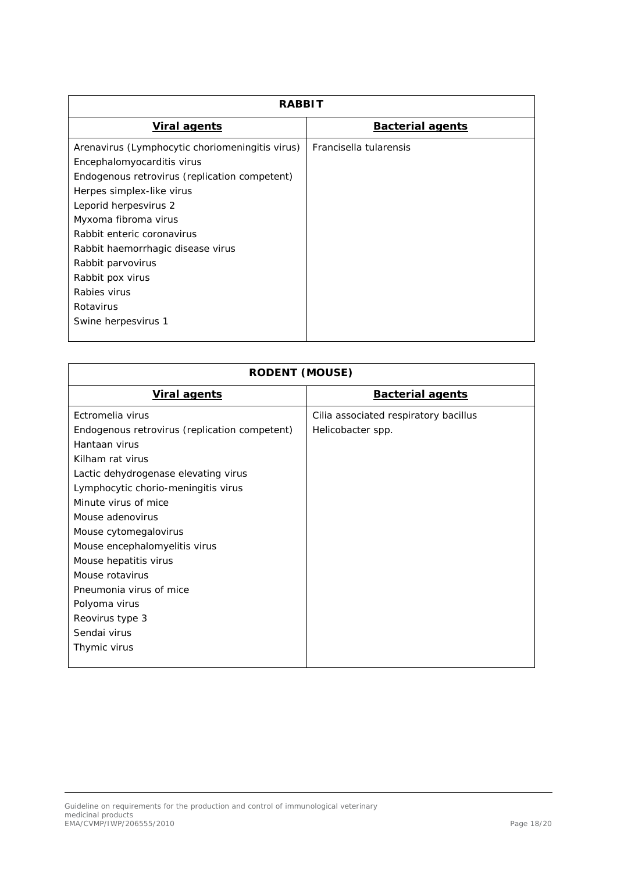| <i><b>RABBIT</b></i>                            |                         |  |
|-------------------------------------------------|-------------------------|--|
| <b>Viral agents</b>                             | <b>Bacterial agents</b> |  |
| Arenavirus (Lymphocytic choriomeningitis virus) | Francisella tularensis  |  |
| Encephalomyocarditis virus                      |                         |  |
| Endogenous retrovirus (replication competent)   |                         |  |
| Herpes simplex-like virus                       |                         |  |
| Leporid herpesvirus 2                           |                         |  |
| Myxoma fibroma virus                            |                         |  |
| Rabbit enteric coronavirus                      |                         |  |
| Rabbit haemorrhagic disease virus               |                         |  |
| Rabbit parvovirus                               |                         |  |
| Rabbit pox virus                                |                         |  |
| Rabies virus                                    |                         |  |
| Rotavirus                                       |                         |  |
| Swine herpesvirus 1                             |                         |  |

| <b>RODENT (MOUSE)</b>                         |                                       |
|-----------------------------------------------|---------------------------------------|
| <b>Viral agents</b>                           | <b>Bacterial agents</b>               |
| Ectromelia virus                              | Cilia associated respiratory bacillus |
| Endogenous retrovirus (replication competent) | Helicobacter spp.                     |
| Hantaan virus                                 |                                       |
| Kilham rat virus                              |                                       |
| Lactic dehydrogenase elevating virus          |                                       |
| Lymphocytic chorio-meningitis virus           |                                       |
| Minute virus of mice                          |                                       |
| Mouse adenovirus                              |                                       |
| Mouse cytomegalovirus                         |                                       |
| Mouse encephalomyelitis virus                 |                                       |
| Mouse hepatitis virus                         |                                       |
| Mouse rotavirus                               |                                       |
| Pneumonia virus of mice                       |                                       |
| Polyoma virus                                 |                                       |
| Reovirus type 3                               |                                       |
| Sendai virus                                  |                                       |
| Thymic virus                                  |                                       |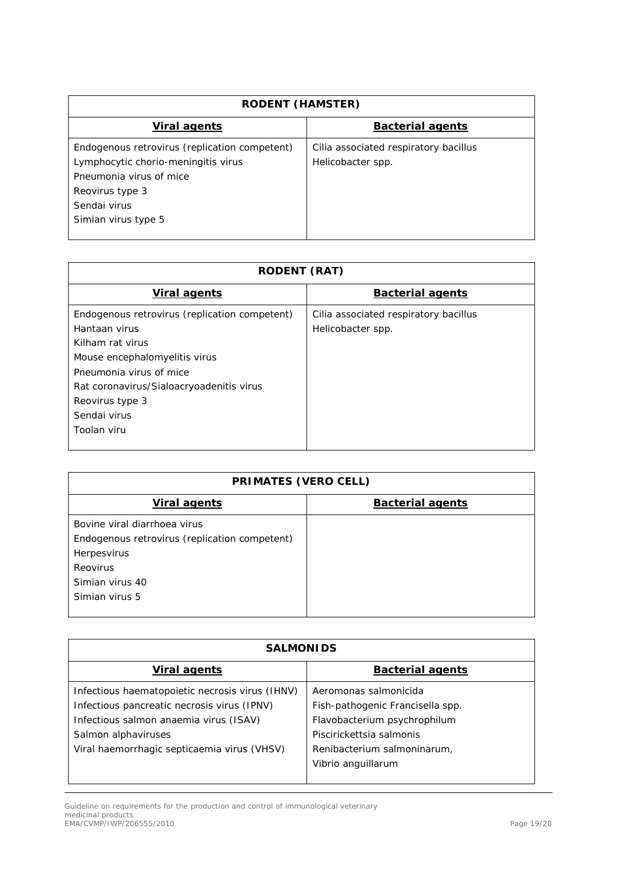| <b>RODENT (HAMSTER)</b>                                                                                                                                                   |                                                            |
|---------------------------------------------------------------------------------------------------------------------------------------------------------------------------|------------------------------------------------------------|
| <i>Viral agents</i>                                                                                                                                                       | <b>Bacterial agents</b>                                    |
| Endogenous retrovirus (replication competent)<br>Lymphocytic chorio-meningitis virus<br>Pneumonia virus of mice<br>Reovirus type 3<br>Sendai virus<br>Simian virus type 5 | Cilia associated respiratory bacillus<br>Helicobacter spp. |

| <b>RODENT (RAT)</b>                                                                                                                                                                                                                          |                                                            |  |
|----------------------------------------------------------------------------------------------------------------------------------------------------------------------------------------------------------------------------------------------|------------------------------------------------------------|--|
| <b>Viral agents</b>                                                                                                                                                                                                                          | <b>Bacterial agents</b>                                    |  |
| Endogenous retrovirus (replication competent)<br>Hantaan virus<br>Kilham rat virus<br>Mouse encephalomyelitis virus<br>Pneumonia virus of mice<br>Rat coronavirus/Sialoacryoadenitis virus<br>Reovirus type 3<br>Sendai virus<br>Toolan viru | Cilia associated respiratory bacillus<br>Helicobacter spp. |  |

| <b>PRIMATES (VERO CELL)</b>                   |                         |
|-----------------------------------------------|-------------------------|
| <b>Viral agents</b>                           | <b>Bacterial agents</b> |
| Bovine viral diarrhoea virus                  |                         |
| Endogenous retrovirus (replication competent) |                         |
| Herpesvirus                                   |                         |
| Reovirus                                      |                         |
| Simian virus 40                               |                         |
| Simian virus 5                                |                         |
|                                               |                         |

| <b>SALMONIDS</b>                                |                                  |
|-------------------------------------------------|----------------------------------|
| <i>Viral agents</i>                             | <b>Bacterial agents</b>          |
| Infectious haematopoietic necrosis virus (IHNV) | Aeromonas salmonicida            |
| Infectious pancreatic necrosis virus (IPNV)     | Fish-pathogenic Francisella spp. |
| Infectious salmon anaemia virus (ISAV)          | Flavobacterium psychrophilum     |
| Salmon alphaviruses                             | Piscirickettsia salmonis         |
| Viral haemorrhagic septicaemia virus (VHSV)     | Renibacterium salmoninarum,      |
|                                                 | Vibrio anguillarum               |

Guideline on requirements for the production and control of immunological veterinary medicinal products EMA/CVMP/IWP/206555/2010 Page 19/20